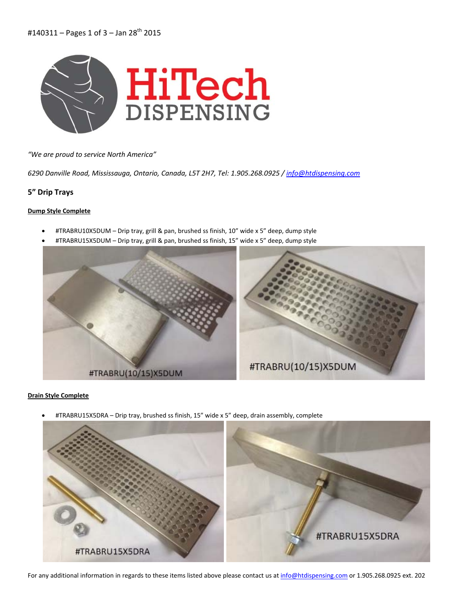

*"We are proud to service North America"*

*6290 Danville Road, Mississauga, Ontario, Canada, L5T 2H7, Tel: 1.905.268.0925 / info@htdispensing.com*

# **5" Drip Trays**

### **Dump Style Complete**

- #TRABRU10X5DUM Drip tray, grill & pan, brushed ss finish, 10" wide x 5" deep, dump style
- #TRABRU15X5DUM Drip tray, grill & pan, brushed ss finish, 15" wide x 5" deep, dump style



### **Drain Style Complete**

• #TRABRU15X5DRA – Drip tray, brushed ss finish, 15" wide x 5" deep, drain assembly, complete



For any additional information in regards to these items listed above please contact us at info@htdispensing.com or 1.905.268.0925 ext. 202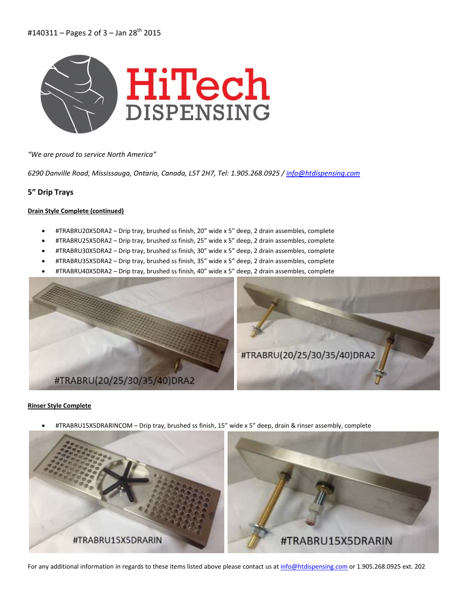

*"We are proud to service North America"*

*6290 Danville Road, Mississauga, Ontario, Canada, L5T 2H7, Tel: 1.905.268.0925 / info@htdispensing.com*

## **5" Drip Trays**

#### **Drain Style Complete (continued)**

- #TRABRU20X5DRA2 Drip tray, brushed ss finish, 20" wide x 5" deep, 2 drain assembles, complete
- #TRABRU25X5DRA2 Drip tray, brushed ss finish, 25" wide x 5" deep, 2 drain assembles, complete
- #TRABRU30X5DRA2 Drip tray, brushed ss finish, 30" wide x 5" deep, 2 drain assembles, complete
- #TRABRU35X5DRA2 Drip tray, brushed ss finish, 35" wide x 5" deep, 2 drain assembles, complete
- #TRABRU40X5DRA2 Drip tray, brushed ss finish, 40" wide x 5" deep, 2 drain assembles, complete



#### **Rinser Style Complete**

• #TRABRU15X5DRARINCOM – Drip tray, brushed ss finish, 15" wide x 5" deep, drain & rinser assembly, complete



For any additional information in regards to these items listed above please contact us at info@htdispensing.com or 1.905.268.0925 ext. 202